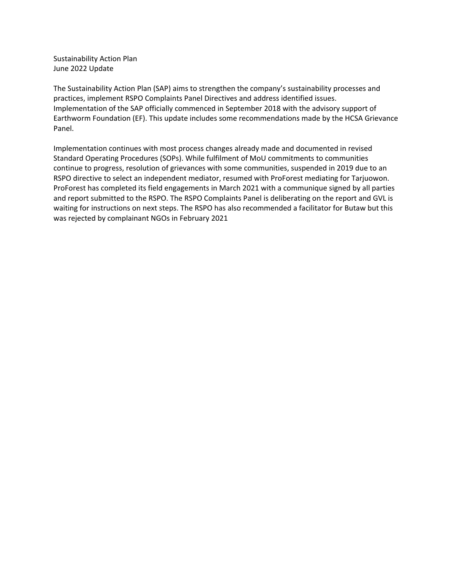Sustainability Action Plan June 2022 Update

The Sustainability Action Plan (SAP) aims to strengthen the company's sustainability processes and practices, implement RSPO Complaints Panel Directives and address identified issues. Implementation of the SAP officially commenced in September 2018 with the advisory support of Earthworm Foundation (EF). This update includes some recommendations made by the HCSA Grievance Panel.

Implementation continues with most process changes already made and documented in revised Standard Operating Procedures (SOPs). While fulfilment of MoU commitments to communities continue to progress, resolution of grievances with some communities, suspended in 2019 due to an RSPO directive to select an independent mediator, resumed with ProForest mediating for Tarjuowon. ProForest has completed its field engagements in March 2021 with a communique signed by all parties and report submitted to the RSPO. The RSPO Complaints Panel is deliberating on the report and GVL is waiting for instructions on next steps. The RSPO has also recommended a facilitator for Butaw but this was rejected by complainant NGOs in February 2021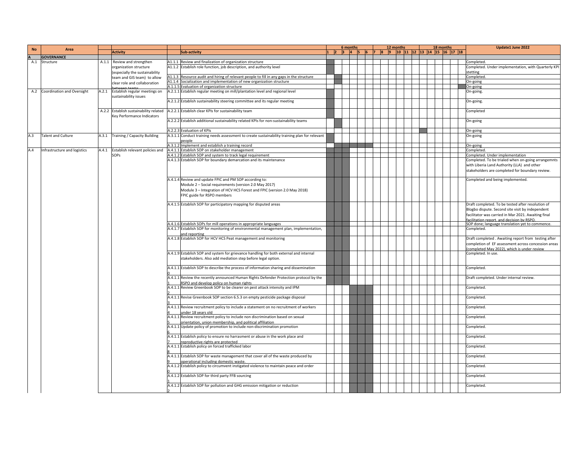| <b>No</b> | Area                           |       |                                        |                                                                                                                                 | 6 months                 |            |  | 12 months |                                             |  | 18 months | Update1 June 2022                                    |
|-----------|--------------------------------|-------|----------------------------------------|---------------------------------------------------------------------------------------------------------------------------------|--------------------------|------------|--|-----------|---------------------------------------------|--|-----------|------------------------------------------------------|
|           |                                |       | <b>Activity</b>                        | Sub-activity                                                                                                                    | $ 1 \t 2 \t 3 \t 4 \t 5$ | $\sqrt{6}$ |  |           | 7  8  9  10  11  12  13  14  15  16  17  18 |  |           |                                                      |
|           | <b>GOVERNANCE</b>              |       |                                        |                                                                                                                                 |                          |            |  |           |                                             |  |           |                                                      |
| A.1       | Structure                      |       | A.1.1 Review and strengthen            | A1.1.1 Review and finalization of organization structure                                                                        |                          |            |  |           |                                             |  |           | Completed.                                           |
|           |                                |       | organization structure                 | A1.1.2 Establish role function, job description, and authority level                                                            |                          |            |  |           |                                             |  |           | Completed. Under implementation, with Quarterly KPI  |
|           |                                |       | (especially the sustainability         |                                                                                                                                 |                          |            |  |           |                                             |  |           | tetting                                              |
|           |                                |       | team and GIS team) to allow            | A1.1.3 Resource audit and hiring of relevant people to fill in any gaps in the structure                                        |                          |            |  |           |                                             |  |           | Completed.                                           |
|           |                                |       | clear role and collaboration           | A1.1.4 Socialization and implementation of new organization structure                                                           |                          |            |  |           |                                             |  |           | On-going                                             |
|           |                                |       |                                        | A.1.1.5 Evaluation of organization structure                                                                                    |                          |            |  |           |                                             |  |           | On-going                                             |
|           | A.2 Coordination and Oversight | A.2.1 | Establish regular meetings on          | A.2.1.1 Establish regular meeting on mill/plantation level and regional level                                                   |                          |            |  |           |                                             |  |           | On-going.                                            |
|           |                                |       | sustainability issues                  |                                                                                                                                 |                          |            |  |           |                                             |  |           |                                                      |
|           |                                |       |                                        | A.2.1.2 Establish sustainability steering committee and its regular meeting                                                     |                          |            |  |           |                                             |  |           | On-going.                                            |
|           |                                |       | A.2.2 Establish sustainability related | A.2.2.1 Establish clear KPIs for sustainability team                                                                            |                          |            |  |           |                                             |  |           |                                                      |
|           |                                |       | Key Performance Indicators             |                                                                                                                                 |                          |            |  |           |                                             |  |           | Completed                                            |
|           |                                |       |                                        | A.2.2.2 Establish additional sustainability related KPIs for non-sustainability teams                                           |                          |            |  |           |                                             |  |           | On-going                                             |
|           |                                |       |                                        |                                                                                                                                 |                          |            |  |           |                                             |  |           |                                                      |
|           |                                |       |                                        | A.2.2.3 Evaluation of KPIs                                                                                                      |                          |            |  |           |                                             |  |           | On-going                                             |
| A.3       | <b>Talent and Culture</b>      |       | A.3.1 Training / Capacity Building     | A.3.1.1 Conduct training needs assessment to create sustainability training plan for relevant                                   |                          |            |  |           |                                             |  |           | On-going                                             |
|           |                                |       |                                        | people                                                                                                                          |                          |            |  |           |                                             |  |           |                                                      |
|           |                                |       |                                        | A.3.1.2 Implement and establish a training record                                                                               |                          |            |  |           |                                             |  |           | On-going                                             |
| A.4       | Infrastructure and logistics   |       | A.4.1 Establish relevant policies and  | A.4.1.1 Establish SOP on stakeholder management                                                                                 |                          |            |  |           |                                             |  |           | Completed.                                           |
|           |                                |       | <b>SOPs</b>                            | A.4.1.2 Establish SOP and system to track legal requirement                                                                     |                          |            |  |           |                                             |  |           | Completed. Under implementation                      |
|           |                                |       |                                        | A.4.1.3 Establish SOP for boundary demarcation and its maintenance                                                              |                          |            |  |           |                                             |  |           | Completed. To be trialed when on-going arrangemnts   |
|           |                                |       |                                        |                                                                                                                                 |                          |            |  |           |                                             |  |           | with Liberia Land Authority (LLA) and other          |
|           |                                |       |                                        |                                                                                                                                 |                          |            |  |           |                                             |  |           | stakeholders are completed for boundary review.      |
|           |                                |       |                                        |                                                                                                                                 |                          |            |  |           |                                             |  |           |                                                      |
|           |                                |       |                                        | A.4.1.4 Review and update FPIC and PM SOP according to:                                                                         |                          |            |  |           |                                             |  |           | Completed and being implemented.                     |
|           |                                |       |                                        | Module 2 - Social requirements (version 2.0 May 2017)                                                                           |                          |            |  |           |                                             |  |           |                                                      |
|           |                                |       |                                        | Module 3 - Integration of HCV HCS Forest and FPIC (version 2.0 May 2018)                                                        |                          |            |  |           |                                             |  |           |                                                      |
|           |                                |       |                                        | FPIC guide for RSPO members                                                                                                     |                          |            |  |           |                                             |  |           |                                                      |
|           |                                |       |                                        |                                                                                                                                 |                          |            |  |           |                                             |  |           |                                                      |
|           |                                |       |                                        | A.4.1.5 Establish SOP for participatory mapping for disputed areas                                                              |                          |            |  |           |                                             |  |           | Draft completed. To be tested after resolution of    |
|           |                                |       |                                        |                                                                                                                                 |                          |            |  |           |                                             |  |           | Blogbo dispute. Second site visit by independent     |
|           |                                |       |                                        |                                                                                                                                 |                          |            |  |           |                                             |  |           | facilitator was carried in Mar 2021. Awaiting final  |
|           |                                |       |                                        |                                                                                                                                 |                          |            |  |           |                                             |  |           | facilitation report, and decision by RSPO.           |
|           |                                |       |                                        | A.4.1.6 Establish SOPs for mill operations in appropriate languages                                                             |                          |            |  |           |                                             |  |           | SOP done; language translation yet to commence.      |
|           |                                |       |                                        | A.4.1.7 Establish SOP for monitoring of environmental management plan, implementation,                                          |                          |            |  |           |                                             |  |           | Completed.                                           |
|           |                                |       |                                        | and reporting<br>A.4.1.8 Establish SOP for HCV HCS Peat management and monitoring                                               |                          |            |  |           |                                             |  |           | Draft completed . Awaiting report from testing after |
|           |                                |       |                                        |                                                                                                                                 |                          |            |  |           |                                             |  |           | completion of EF assessment across concession areas  |
|           |                                |       |                                        |                                                                                                                                 |                          |            |  |           |                                             |  |           | (completed May 2022), which is under review.         |
|           |                                |       |                                        | A.4.1.9 Establish SOP and system for grievance handling for both external and internal                                          |                          |            |  |           |                                             |  |           | Completed. In use.                                   |
|           |                                |       |                                        | stakeholders. Also add mediation step before legal option.                                                                      |                          |            |  |           |                                             |  |           |                                                      |
|           |                                |       |                                        |                                                                                                                                 |                          |            |  |           |                                             |  |           |                                                      |
|           |                                |       |                                        | A.4.1.1 Establish SOP to describe the process of information sharing and dissemination                                          |                          |            |  |           |                                             |  |           | Completed.                                           |
|           |                                |       |                                        |                                                                                                                                 |                          |            |  |           |                                             |  |           |                                                      |
|           |                                |       |                                        | A.4.1.1 Review the recently announced Human Rights Defender Protection protocol by the                                          |                          |            |  |           |                                             |  |           | Draft completed. Under internal review.              |
|           |                                |       |                                        | RSPO and develop policy on human rights                                                                                         |                          |            |  |           |                                             |  |           |                                                      |
|           |                                |       |                                        | A.4.1.1 Review Greenbook SOP to be clearer on pest attack intensity and IPM                                                     |                          |            |  |           |                                             |  |           | Completed.                                           |
|           |                                |       |                                        |                                                                                                                                 |                          |            |  |           |                                             |  |           |                                                      |
|           |                                |       |                                        | A.4.1.1 Revise Greenbook SOP section 6.5.3 on empty pesticide package disposal                                                  |                          |            |  |           |                                             |  |           | Completed.                                           |
|           |                                |       |                                        | A.4.1.1 Review recruitment policy to include a statement on no recruitment of workers                                           |                          |            |  |           |                                             |  |           | Completed.                                           |
|           |                                |       |                                        | <u>inder 18 years old</u>                                                                                                       |                          |            |  |           |                                             |  |           |                                                      |
|           |                                |       |                                        | A.4.1.1 Review recruitment policy to include non discrimination based on sexual                                                 |                          |            |  |           |                                             |  |           | Completed.                                           |
|           |                                |       |                                        | orientation, union membership, and political affiliation                                                                        |                          |            |  |           |                                             |  |           |                                                      |
|           |                                |       |                                        | A.4.1.1 Update policy of promotion to include non-discrimination promotion                                                      |                          |            |  |           |                                             |  |           | Completed.                                           |
|           |                                |       |                                        |                                                                                                                                 |                          |            |  |           |                                             |  |           |                                                      |
|           |                                |       |                                        | A.4.1.1 Establish policy to ensure no harrasment or abuse in the work place and                                                 |                          |            |  |           |                                             |  |           | Completed.                                           |
|           |                                |       |                                        | reproductive rights are protected                                                                                               |                          |            |  |           |                                             |  |           |                                                      |
|           |                                |       |                                        | A.4.1.1 Establish policy on forced trafficked labor                                                                             |                          |            |  |           |                                             |  |           | Completed.                                           |
|           |                                |       |                                        |                                                                                                                                 |                          |            |  |           |                                             |  |           |                                                      |
|           |                                |       |                                        | A.4.1.1 Establish SOP for waste management that cover all of the waste produced by                                              |                          |            |  |           |                                             |  |           | Completed.                                           |
|           |                                |       |                                        | operational including domestic waste.<br>A.4.1.2 Establish policy to circumvent instigated violence to maintain peace and order |                          |            |  |           |                                             |  |           | Completed.                                           |
|           |                                |       |                                        |                                                                                                                                 |                          |            |  |           |                                             |  |           |                                                      |
|           |                                |       |                                        | A.4.1.2 Establish SOP for third party FFB sourcing                                                                              |                          |            |  |           |                                             |  |           | Completed.                                           |
|           |                                |       |                                        |                                                                                                                                 |                          |            |  |           |                                             |  |           |                                                      |
|           |                                |       |                                        | A.4.1.2 Establish SOP for pollution and GHG emission mitigation or reduction                                                    |                          |            |  |           |                                             |  |           | Completed.                                           |
|           |                                |       |                                        |                                                                                                                                 |                          |            |  |           |                                             |  |           |                                                      |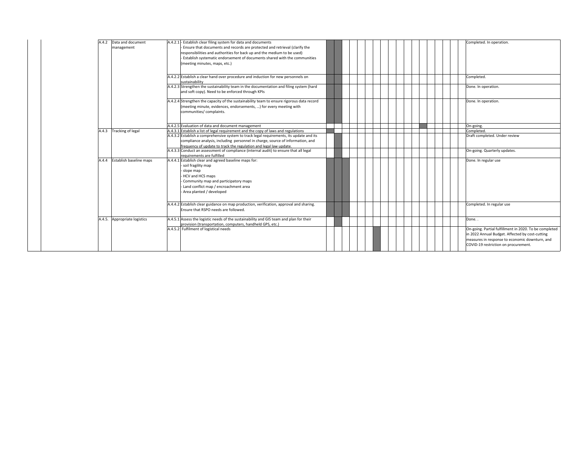| A.4.2 Data and document<br>management | A.4.2.1 - Establish clear filing system for data and documents<br>Ensure that documents and records are protected and retrieval (clarify the<br>responsibilities and authorities for back up and the medium to be used)<br>Establish systematic endorsement of documents shared with the communities<br>(meeting minutes, maps, etc.) | Completed. In operation.                                                                                                                                                                            |
|---------------------------------------|---------------------------------------------------------------------------------------------------------------------------------------------------------------------------------------------------------------------------------------------------------------------------------------------------------------------------------------|-----------------------------------------------------------------------------------------------------------------------------------------------------------------------------------------------------|
|                                       | A.4.2.2 Establish a clear hand over procedure and induction for new personnels on<br>sustainability                                                                                                                                                                                                                                   | Completed.                                                                                                                                                                                          |
|                                       | A.4.2.3 Strengthen the sustainability team in the documentation and filing system (hard<br>and soft copy). Need to be enforced through KPIs                                                                                                                                                                                           | Done. In operation.                                                                                                                                                                                 |
|                                       | A.4.2.4 Strengthen the capacity of the sustainability team to ensure rigorous data record<br>(meeting minute, evidences, endorsements, ) for every meeting with<br>communities/ complaints.                                                                                                                                           | Done. In operation.                                                                                                                                                                                 |
|                                       | A.4.2.5 Evaluation of data and document management                                                                                                                                                                                                                                                                                    | On-going.                                                                                                                                                                                           |
| A.4.3 Tracking of legal               | A.4.3.1 Establish a list of legal requirement and the copy of laws and regulations                                                                                                                                                                                                                                                    | Completed.                                                                                                                                                                                          |
|                                       | A.4.3.2 Establish a comprehensive system to track legal requirements, its update and its<br>compliance analysis, including personnel in charge, source of information, and<br>frequency of update to track the regulation and legal law update.                                                                                       | Draft completed. Under review                                                                                                                                                                       |
|                                       | A.4.3.3 Conduct an assessment of compliance (internal audit) to ensure that all legal<br>requirements are fulfilled                                                                                                                                                                                                                   | On-going. Quarterly updates.                                                                                                                                                                        |
| Establish baseline maps<br>A.4.4      | A.4.4.1 Establish clear and agreed baseline maps for:<br>soil fragility map<br>slope map<br>- HCV and HCS maps<br>Community map and participatory maps<br>Land conflict map / encroachment area<br>- Area planted / developed                                                                                                         | Done. In regular use                                                                                                                                                                                |
|                                       | A.4.4.2 Establish clear guidance on map production, verification, approval and sharing.<br>Ensure that RSPO needs are followed.                                                                                                                                                                                                       | Completed. In regular use                                                                                                                                                                           |
| A.4.5. Appropriate logistics          | A.4.5.1 Assess the logistic needs of the sustainability and GIS team and plan for their<br>provision (transportation, computers, handheld GPS, etc.)                                                                                                                                                                                  | Done                                                                                                                                                                                                |
|                                       | A.4.5.2 Fulfilment of logistical needs                                                                                                                                                                                                                                                                                                | On-going. Partial fulfillment in 2020. To be completed<br>in 2022 Annual Budget. Affected by cost-cutting<br>measures in response to economic downturn, and<br>COVID-19 restriction on procurement. |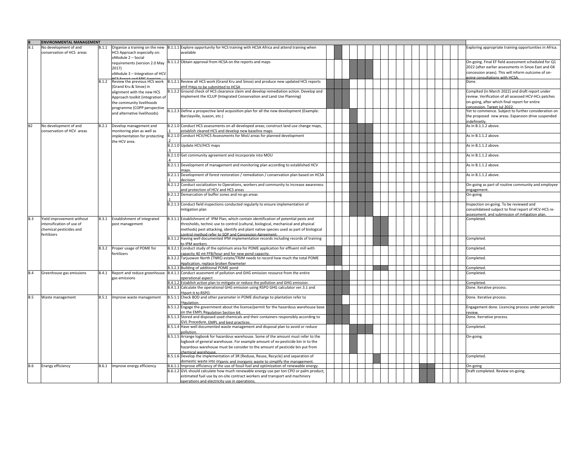|            | <b>ENVIRONMENTAL MANAGEMENT</b>                                                                  |              |                                                                                                                       |                                                                                                                                                                                                    |                                                                                                                                                                                        |                                                                                                      |                                                                                                                                                   |                                                                                                                            |  |  |                                                      |                                                                                                                                                                                                                                                                                                                               |            |  |  |                                                                                                                                                                                                                                                         |          |
|------------|--------------------------------------------------------------------------------------------------|--------------|-----------------------------------------------------------------------------------------------------------------------|----------------------------------------------------------------------------------------------------------------------------------------------------------------------------------------------------|----------------------------------------------------------------------------------------------------------------------------------------------------------------------------------------|------------------------------------------------------------------------------------------------------|---------------------------------------------------------------------------------------------------------------------------------------------------|----------------------------------------------------------------------------------------------------------------------------|--|--|------------------------------------------------------|-------------------------------------------------------------------------------------------------------------------------------------------------------------------------------------------------------------------------------------------------------------------------------------------------------------------------------|------------|--|--|---------------------------------------------------------------------------------------------------------------------------------------------------------------------------------------------------------------------------------------------------------|----------|
| B.1        | No development of and<br>conservation of HCS areas                                               |              | <b>HCS Approach especially on:</b><br>oModule 2 - Social                                                              | $B.1.1$ Organize a training on the new $ B.1.1.1 $ Explore opportunity for HCS training with HCSA Africa and attend training when<br>available                                                     | Exploring appropriate training opportunities in Africa.                                                                                                                                |                                                                                                      |                                                                                                                                                   |                                                                                                                            |  |  |                                                      |                                                                                                                                                                                                                                                                                                                               |            |  |  |                                                                                                                                                                                                                                                         |          |
|            |                                                                                                  |              | 2017)<br>oModule 3 - Integration of HCV                                                                               | requirements (version 2.0 May $ B.1.1.2 O$ btain approval from HCSA on the reports and maps                                                                                                        | On-going. Final EF field assessment scheduled for Q1<br>2022 (after earlier assessments in Sinoe East and GK<br>concession araes). This will inform outcome of on-                     |                                                                                                      |                                                                                                                                                   |                                                                                                                            |  |  |                                                      |                                                                                                                                                                                                                                                                                                                               |            |  |  |                                                                                                                                                                                                                                                         |          |
|            |                                                                                                  |              |                                                                                                                       | B.1.2 Review the previous HCS work B.1.2.1 Review all HCS work (Grand Kru and Sinoe) and produce new updated HCS reports                                                                           | going consultations with HCSA.<br>Done.                                                                                                                                                |                                                                                                      |                                                                                                                                                   |                                                                                                                            |  |  |                                                      |                                                                                                                                                                                                                                                                                                                               |            |  |  |                                                                                                                                                                                                                                                         |          |
|            |                                                                                                  |              | (Grand Kru & Sinoe) in<br>alignment with the new HCS<br>Approach toolkit (integration of<br>the community livelihoods | and maps to be submitted to HCSA<br>B.1.2.2 Ground check of HCS clearance claim and develop remediation action. Develop and<br>implement the ICLUP (Integrated Conservation and Land Use Planning) | Complted (in March 2022) and draft report under<br>review. Verification of all assessed HCV-HCs patches<br>on-going, after which final report for entire<br>concession Target Jul 2022 |                                                                                                      |                                                                                                                                                   |                                                                                                                            |  |  |                                                      |                                                                                                                                                                                                                                                                                                                               |            |  |  |                                                                                                                                                                                                                                                         |          |
|            |                                                                                                  |              |                                                                                                                       |                                                                                                                                                                                                    |                                                                                                                                                                                        | programme (COPP perspective<br>and alternative livelihoods)                                          | B.1.2.3 Define a prospective land acquisition plan for all the new development (Example:<br>Barclayville, Juazon, etc.)                           | Yet to commence. Subject to further consideration on<br>the proposed new areas. Expansion drive suspended<br>indefinietly. |  |  |                                                      |                                                                                                                                                                                                                                                                                                                               |            |  |  |                                                                                                                                                                                                                                                         |          |
| <b>B2</b>  | No development of and<br>conservation of HCV areas                                               |              | B.2.1 Develop management and<br>monitoring plan as well as                                                            | B.2.1.0 Conduct HCS assessments on all developed areas; construct land use change maps,<br>establish cleared HCS and develop new baseline maps                                                     | As in B.1.1.2 above.                                                                                                                                                                   |                                                                                                      |                                                                                                                                                   |                                                                                                                            |  |  |                                                      |                                                                                                                                                                                                                                                                                                                               |            |  |  |                                                                                                                                                                                                                                                         |          |
|            |                                                                                                  |              | implementation for protecting<br>the HCV area.                                                                        | B.2.1.0 Conduct HCV/HCS Assessments for MoU areas for planned development                                                                                                                          | As in B.1.1.2 above.                                                                                                                                                                   |                                                                                                      |                                                                                                                                                   |                                                                                                                            |  |  |                                                      |                                                                                                                                                                                                                                                                                                                               |            |  |  |                                                                                                                                                                                                                                                         |          |
|            |                                                                                                  |              |                                                                                                                       | B.2.1.0 Update HCV/HCS maps                                                                                                                                                                        | As in B.1.1.2 above.                                                                                                                                                                   |                                                                                                      |                                                                                                                                                   |                                                                                                                            |  |  |                                                      |                                                                                                                                                                                                                                                                                                                               |            |  |  |                                                                                                                                                                                                                                                         |          |
|            |                                                                                                  |              |                                                                                                                       | B.2.1.0 Get community agreement and incorporate into MOU                                                                                                                                           | As in B.1.1.2 above.                                                                                                                                                                   |                                                                                                      |                                                                                                                                                   |                                                                                                                            |  |  |                                                      |                                                                                                                                                                                                                                                                                                                               |            |  |  |                                                                                                                                                                                                                                                         |          |
|            |                                                                                                  |              |                                                                                                                       | B.2.1.1 Development of management and monitoring plan according to established HCV                                                                                                                 | As in B.1.1.2 above.                                                                                                                                                                   |                                                                                                      |                                                                                                                                                   |                                                                                                                            |  |  |                                                      |                                                                                                                                                                                                                                                                                                                               |            |  |  |                                                                                                                                                                                                                                                         |          |
|            |                                                                                                  |              |                                                                                                                       | B.2.1.1 Development of forest restoration / remediation / conservation plan based on HCSA<br>decision                                                                                              | As in B.1.1.2 above.                                                                                                                                                                   |                                                                                                      |                                                                                                                                                   |                                                                                                                            |  |  |                                                      |                                                                                                                                                                                                                                                                                                                               |            |  |  |                                                                                                                                                                                                                                                         |          |
|            |                                                                                                  |              |                                                                                                                       | B.2.1.2 Conduct socialization to Operations, workers and community to increase awareness<br>and protection of HCV and HCS areas                                                                    | On-going as part of routine community and employee<br>engagement                                                                                                                       |                                                                                                      |                                                                                                                                                   |                                                                                                                            |  |  |                                                      |                                                                                                                                                                                                                                                                                                                               |            |  |  |                                                                                                                                                                                                                                                         |          |
|            |                                                                                                  |              |                                                                                                                       | B.2.1.2 Demarcation of buffer zones and no-go areas                                                                                                                                                | On-going                                                                                                                                                                               |                                                                                                      |                                                                                                                                                   |                                                                                                                            |  |  |                                                      |                                                                                                                                                                                                                                                                                                                               |            |  |  |                                                                                                                                                                                                                                                         |          |
|            |                                                                                                  |              |                                                                                                                       |                                                                                                                                                                                                    |                                                                                                                                                                                        | B.2.1.3 Conduct field inspections conducted regularly to ensure implementation of<br>mitigation plan | Inspection on-going. To be reviewed and<br>consolidateed subject to final report of HCV-HCS re-<br>assessment, and submission of mitigation plan. |                                                                                                                            |  |  |                                                      |                                                                                                                                                                                                                                                                                                                               |            |  |  |                                                                                                                                                                                                                                                         |          |
| <b>B.3</b> | Yield improvement without<br>intensification of use of<br>chemical pesticides and<br>fertilizers |              |                                                                                                                       |                                                                                                                                                                                                    |                                                                                                                                                                                        |                                                                                                      |                                                                                                                                                   |                                                                                                                            |  |  | B.3.1 Establishment of integrated<br>pest management | B.3.1.1 Establishment of IPM Plan, which contain identification of potential pests and<br>thresholds, technic use to control (cultural, biological, mechanical and physical<br>methods) pest attacking, identify and plant native species used as part of biological<br>control method refer to SOP and Concession Agreement. | Completed. |  |  |                                                                                                                                                                                                                                                         |          |
|            |                                                                                                  |              |                                                                                                                       | B.3.1.2 Having well documented IPM implementation records including records of training<br>to IPM workers                                                                                          | Completed.                                                                                                                                                                             |                                                                                                      |                                                                                                                                                   |                                                                                                                            |  |  |                                                      |                                                                                                                                                                                                                                                                                                                               |            |  |  |                                                                                                                                                                                                                                                         |          |
|            |                                                                                                  | <b>B.3.2</b> | Proper usage of POME for<br>fertilizers                                                                               | B.3.2.1 Conduct study of the optimum area for POME application for effluent mill with<br>capacity 40 mt FFB/hour and for new pond capacity.                                                        | Completed.                                                                                                                                                                             |                                                                                                      |                                                                                                                                                   |                                                                                                                            |  |  |                                                      |                                                                                                                                                                                                                                                                                                                               |            |  |  |                                                                                                                                                                                                                                                         |          |
|            |                                                                                                  |              |                                                                                                                       | B.3.2.2 Tarjuowon North (TNRE) estate/TRJM needs to record how much the total POME<br>application, replace broken flowmeter                                                                        | Completed.                                                                                                                                                                             |                                                                                                      |                                                                                                                                                   |                                                                                                                            |  |  |                                                      |                                                                                                                                                                                                                                                                                                                               |            |  |  |                                                                                                                                                                                                                                                         |          |
|            |                                                                                                  |              |                                                                                                                       | B.3.2.3 Building of additional POME pond                                                                                                                                                           | Completed.                                                                                                                                                                             |                                                                                                      |                                                                                                                                                   |                                                                                                                            |  |  |                                                      |                                                                                                                                                                                                                                                                                                                               |            |  |  |                                                                                                                                                                                                                                                         |          |
| <b>B.4</b> | Greenhouse gas emissions                                                                         |              | gas emissions                                                                                                         | B.4.1 Report and reduce greenhouse B.4.1.1 Conduct assesment of pollution and GHG emission resource from the entire<br>operational aspect                                                          | Completed.                                                                                                                                                                             |                                                                                                      |                                                                                                                                                   |                                                                                                                            |  |  |                                                      |                                                                                                                                                                                                                                                                                                                               |            |  |  |                                                                                                                                                                                                                                                         |          |
|            |                                                                                                  |              |                                                                                                                       | B.4.1.2 Establish action plan to mitigate or reduce the pollution and GHG emission.                                                                                                                | Completed.                                                                                                                                                                             |                                                                                                      |                                                                                                                                                   |                                                                                                                            |  |  |                                                      |                                                                                                                                                                                                                                                                                                                               |            |  |  |                                                                                                                                                                                                                                                         |          |
|            |                                                                                                  |              |                                                                                                                       | B.4.1.3 Calculate the operational GHG emission using RSPO GHG calculator ver.3.1 and<br>report it to RSPO.                                                                                         | Done. Iterative process.                                                                                                                                                               |                                                                                                      |                                                                                                                                                   |                                                                                                                            |  |  |                                                      |                                                                                                                                                                                                                                                                                                                               |            |  |  |                                                                                                                                                                                                                                                         |          |
| <b>B.5</b> | Waste management                                                                                 |              | B.5.1 Improve waste management                                                                                        | B.5.1.1 Check BOD and other parameter in POME discharge to plantation refer to<br>regulation.                                                                                                      | Done. Iterative process.                                                                                                                                                               |                                                                                                      |                                                                                                                                                   |                                                                                                                            |  |  |                                                      |                                                                                                                                                                                                                                                                                                                               |            |  |  |                                                                                                                                                                                                                                                         |          |
|            |                                                                                                  |              |                                                                                                                       | B.5.1.2 Engage the government about the license/permit for the hazardous warehouse base<br>on the EMPL Regulation Section 64                                                                       | Engagement done. Licencing process under periodic<br>review.                                                                                                                           |                                                                                                      |                                                                                                                                                   |                                                                                                                            |  |  |                                                      |                                                                                                                                                                                                                                                                                                                               |            |  |  |                                                                                                                                                                                                                                                         |          |
|            |                                                                                                  |              |                                                                                                                       | B.5.1.3 Stored and disposed used chemicals and their containers responsibly according to<br>GVL Procedure, EMPL and best practices.                                                                | Done. Iterrative process.                                                                                                                                                              |                                                                                                      |                                                                                                                                                   |                                                                                                                            |  |  |                                                      |                                                                                                                                                                                                                                                                                                                               |            |  |  |                                                                                                                                                                                                                                                         |          |
|            |                                                                                                  |              |                                                                                                                       | B.5.1.4 Have well documented waste management and disposal plan to avoid or reduce<br>pollution                                                                                                    | Completed.                                                                                                                                                                             |                                                                                                      |                                                                                                                                                   |                                                                                                                            |  |  |                                                      |                                                                                                                                                                                                                                                                                                                               |            |  |  |                                                                                                                                                                                                                                                         |          |
|            |                                                                                                  |              |                                                                                                                       |                                                                                                                                                                                                    |                                                                                                                                                                                        |                                                                                                      |                                                                                                                                                   |                                                                                                                            |  |  |                                                      |                                                                                                                                                                                                                                                                                                                               |            |  |  | B.5.1.5 Arrange logbook for hazardous warehouse. Some of the amount must refer to the<br>logbook of general warehouse. For example amount of ex-pesticide bin in to the<br>hazardous warehouse must be consider to the amount of pesticide bin put from | On-going |
|            |                                                                                                  |              |                                                                                                                       | hemical warehouse<br>B.5.1.6 Develop the implementation of 3R (Reduse, Reuse, Recycle) and separation of                                                                                           | Completed.                                                                                                                                                                             |                                                                                                      |                                                                                                                                                   |                                                                                                                            |  |  |                                                      |                                                                                                                                                                                                                                                                                                                               |            |  |  |                                                                                                                                                                                                                                                         |          |
|            |                                                                                                  |              |                                                                                                                       | domestic waste into organic and inorganic waste to simplify the management.                                                                                                                        |                                                                                                                                                                                        |                                                                                                      |                                                                                                                                                   |                                                                                                                            |  |  |                                                      |                                                                                                                                                                                                                                                                                                                               |            |  |  |                                                                                                                                                                                                                                                         |          |
| <b>B.6</b> | <b>Energy efficiency</b>                                                                         |              | B.6.1 Improve energy efficiency                                                                                       | B.6.1.1 Improve efficiency of the use of fossil fuel and optimization of renewable energy.                                                                                                         | On-going                                                                                                                                                                               |                                                                                                      |                                                                                                                                                   |                                                                                                                            |  |  |                                                      |                                                                                                                                                                                                                                                                                                                               |            |  |  |                                                                                                                                                                                                                                                         |          |
|            |                                                                                                  |              |                                                                                                                       | B.6.1.2 GVL should calculate how much renewable energy use per ton CPO or palm product,<br>estimated fuel use by on-site contract workers and transport and machinery                              | Draft completed. Review on-going.                                                                                                                                                      |                                                                                                      |                                                                                                                                                   |                                                                                                                            |  |  |                                                      |                                                                                                                                                                                                                                                                                                                               |            |  |  |                                                                                                                                                                                                                                                         |          |
|            |                                                                                                  |              |                                                                                                                       | operations and electricity use in operations.                                                                                                                                                      |                                                                                                                                                                                        |                                                                                                      |                                                                                                                                                   |                                                                                                                            |  |  |                                                      |                                                                                                                                                                                                                                                                                                                               |            |  |  |                                                                                                                                                                                                                                                         |          |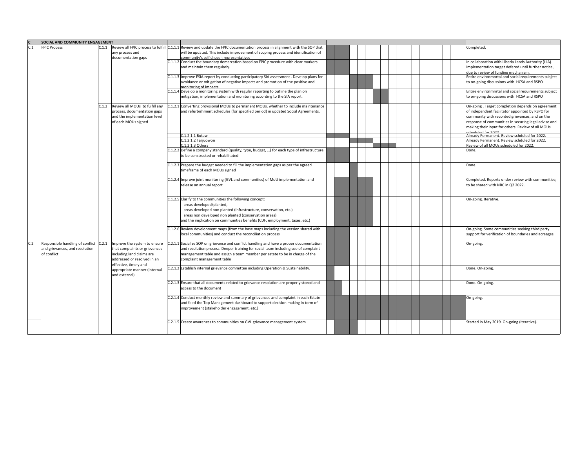|     | SOCIAL AND COMMUNITY ENGAGEMENT                                                   |       |                                                                                                                            |                                                                                                                                                                                                                                                                                                 |  |  |  |  |                                                                                                                                                                                                                                                                     |  |                                                                                                                                                    |                                                                                                                                                                                                                                                                                             |  |  |  |                                                                                                        |           |
|-----|-----------------------------------------------------------------------------------|-------|----------------------------------------------------------------------------------------------------------------------------|-------------------------------------------------------------------------------------------------------------------------------------------------------------------------------------------------------------------------------------------------------------------------------------------------|--|--|--|--|---------------------------------------------------------------------------------------------------------------------------------------------------------------------------------------------------------------------------------------------------------------------|--|----------------------------------------------------------------------------------------------------------------------------------------------------|---------------------------------------------------------------------------------------------------------------------------------------------------------------------------------------------------------------------------------------------------------------------------------------------|--|--|--|--------------------------------------------------------------------------------------------------------|-----------|
| C.1 | <b>FPIC Process</b>                                                               |       | any process and                                                                                                            | C.1.1 Review all FPIC process to fulfill C.1.1.1 Review and update the FPIC documentation process in alignment with the SOP that<br>will be updated. This include improvement of scoping process and identification of<br>community's self chosen representatives                               |  |  |  |  | Completed.                                                                                                                                                                                                                                                          |  |                                                                                                                                                    |                                                                                                                                                                                                                                                                                             |  |  |  |                                                                                                        |           |
|     |                                                                                   |       | documentation gaps                                                                                                         | C.1.1.2 Conduct the boundary demarcation based on FPIC procedure with clear markers<br>and maintain them regularly.                                                                                                                                                                             |  |  |  |  | In collaboration with Liberia Lands Authority (LLA).<br>Implementation target defered until further notice,<br>due to review of funding mechanism.                                                                                                                  |  |                                                                                                                                                    |                                                                                                                                                                                                                                                                                             |  |  |  |                                                                                                        |           |
|     |                                                                                   |       |                                                                                                                            | C.1.1.3 Improve ESIA report by conducting participatory SIA assessment . Develop plans for<br>avoidance or mitigation of negative impacts and promotion of the positive and<br>monitoring of impacts                                                                                            |  |  |  |  | Entire environmnrtal and social requirements subject<br>to on-going discussions with HCSA and RSPO                                                                                                                                                                  |  |                                                                                                                                                    |                                                                                                                                                                                                                                                                                             |  |  |  |                                                                                                        |           |
|     |                                                                                   |       |                                                                                                                            | C.1.1.4 Develop a monitoring system with regular reporting to outline the plan on<br>mitigation, implementation and monitoring according to the SIA report.                                                                                                                                     |  |  |  |  | Entire environmnrtal and social requirements subject<br>to on-going discussions with HCSA and RSPO                                                                                                                                                                  |  |                                                                                                                                                    |                                                                                                                                                                                                                                                                                             |  |  |  |                                                                                                        |           |
|     |                                                                                   |       | C.1.2 Review all MOUs to fulfill any<br>process, documentation gaps<br>and the implementation level<br>of each MOUs signed | C.1.2.1 Converting provisional MOUs to permanent MOUs, whether to include maintenance<br>and refurbishment schedules (for specified period) in updated Social Agreements.                                                                                                                       |  |  |  |  | On-going. Target completion depends on agreement<br>of independent facilitator appointed by RSPO for<br>community with recorded grievances, and on the<br>response of communities in securing legal advise and<br>making their input for others. Review of all MOUs |  |                                                                                                                                                    |                                                                                                                                                                                                                                                                                             |  |  |  |                                                                                                        |           |
|     |                                                                                   |       |                                                                                                                            | C.1.2.1.1 Butaw                                                                                                                                                                                                                                                                                 |  |  |  |  | Already Permanent. Review schduled for 2022.                                                                                                                                                                                                                        |  |                                                                                                                                                    |                                                                                                                                                                                                                                                                                             |  |  |  |                                                                                                        |           |
|     |                                                                                   |       |                                                                                                                            | C.1.2.1.2 Tarjuowon                                                                                                                                                                                                                                                                             |  |  |  |  | Already Permanent. Review schduled for 2022.                                                                                                                                                                                                                        |  |                                                                                                                                                    |                                                                                                                                                                                                                                                                                             |  |  |  |                                                                                                        |           |
|     |                                                                                   |       |                                                                                                                            | C.1.2.1.3 Others                                                                                                                                                                                                                                                                                |  |  |  |  | Review of all MOUs scheduled for 2022.                                                                                                                                                                                                                              |  |                                                                                                                                                    |                                                                                                                                                                                                                                                                                             |  |  |  |                                                                                                        |           |
|     |                                                                                   |       |                                                                                                                            | C.1.2.2 Define a company standard (quality, type, budget, ) for each type of infrastructure<br>to be constructed or rehabilitated                                                                                                                                                               |  |  |  |  | Done.                                                                                                                                                                                                                                                               |  |                                                                                                                                                    |                                                                                                                                                                                                                                                                                             |  |  |  |                                                                                                        |           |
|     |                                                                                   |       |                                                                                                                            | C.1.2.3 Prepare the budget needed to fill the implementation gaps as per the agreed<br>timeframe of each MOUs signed                                                                                                                                                                            |  |  |  |  | Done.                                                                                                                                                                                                                                                               |  |                                                                                                                                                    |                                                                                                                                                                                                                                                                                             |  |  |  |                                                                                                        |           |
|     |                                                                                   |       |                                                                                                                            | C.1.2.4 Improve joint monitoring (GVL and communities) of MoU implementation and<br>release an annual report                                                                                                                                                                                    |  |  |  |  | Completed. Reports under review with communities;<br>to be shared with NBC in Q2 2022.                                                                                                                                                                              |  |                                                                                                                                                    |                                                                                                                                                                                                                                                                                             |  |  |  |                                                                                                        |           |
|     |                                                                                   |       |                                                                                                                            | C.1.2.5 Clarify to the communities the following concept:<br>areas developed/planted,<br>areas developed non planted (infrastructure, conservation, etc.)<br>areas non developed non planted (conservation areas)<br>and the implication on communities benefits (CDF, employment, taxes, etc.) |  |  |  |  | On-going. Iterative.                                                                                                                                                                                                                                                |  |                                                                                                                                                    |                                                                                                                                                                                                                                                                                             |  |  |  |                                                                                                        |           |
|     |                                                                                   |       |                                                                                                                            |                                                                                                                                                                                                                                                                                                 |  |  |  |  |                                                                                                                                                                                                                                                                     |  | C.1.2.6 Review development maps (from the base maps including the version shared with<br>local communities) and conduct the reconciliation process |                                                                                                                                                                                                                                                                                             |  |  |  | On-going. Some communities seeking third party<br>support for verification of boundaries and acreages. |           |
| C.2 | Responsible handling of conflict<br>and grievances, and resolution<br>of conflict | C.2.1 |                                                                                                                            |                                                                                                                                                                                                                                                                                                 |  |  |  |  |                                                                                                                                                                                                                                                                     |  | Improve the system to ensure<br>that complaints or grievances<br>including land claims are<br>addressed or resolved in an<br>effective, timely and | C.2.1.1 Socialize SOP on grievance and conflict handling and have a proper documentation<br>and resolution process. Deeper training for social team including use of complaint<br>management table and assign a team member per estate to be in charge of the<br>complaint management table |  |  |  |                                                                                                        | On-going. |
|     |                                                                                   |       | appropriate manner (internal<br>and external)                                                                              | C.2.1.2 Establish internal grievance committee including Operation & Sustainability.                                                                                                                                                                                                            |  |  |  |  | Done. On-going.                                                                                                                                                                                                                                                     |  |                                                                                                                                                    |                                                                                                                                                                                                                                                                                             |  |  |  |                                                                                                        |           |
|     |                                                                                   |       |                                                                                                                            | C.2.1.3 Ensure that all documents related to grievance resolution are properly stored and<br>access to the document                                                                                                                                                                             |  |  |  |  | Done. On-going.                                                                                                                                                                                                                                                     |  |                                                                                                                                                    |                                                                                                                                                                                                                                                                                             |  |  |  |                                                                                                        |           |
|     |                                                                                   |       |                                                                                                                            | C.2.1.4 Conduct monthly review and summary of grievances and complaint in each Estate<br>and feed the Top Management dashboard to support decision making in term of<br>improvement (stakeholder engagement, etc.)                                                                              |  |  |  |  | On-going.                                                                                                                                                                                                                                                           |  |                                                                                                                                                    |                                                                                                                                                                                                                                                                                             |  |  |  |                                                                                                        |           |
|     |                                                                                   |       |                                                                                                                            | C.2.1.5 Create awareness to communities on GVL grievance management system                                                                                                                                                                                                                      |  |  |  |  | Started in May 2019. On-going (iterative).                                                                                                                                                                                                                          |  |                                                                                                                                                    |                                                                                                                                                                                                                                                                                             |  |  |  |                                                                                                        |           |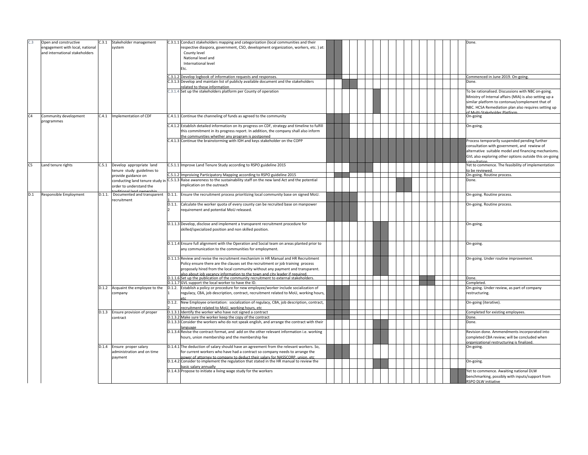| C.3            | Open and constructive<br>engagement with local, national<br>and international stakeholders |  | C.3.1 Stakeholder management<br>system                                                  |               | C.3.1.1 Conduct stakeholders mapping and categorization (local communities and their<br>respective diaspora, government, CSO, development organization, workers, etc.) at:<br>County level<br>National level and<br>International level<br>Etc.<br>C.3.1.2 Develop logbook of information requests and responses.                      |                                                                                                                                                    |  |  | Done.<br>Commenced in June 2019. On-going                                                                                                                                                                                                                            |           |  |  |  |
|----------------|--------------------------------------------------------------------------------------------|--|-----------------------------------------------------------------------------------------|---------------|----------------------------------------------------------------------------------------------------------------------------------------------------------------------------------------------------------------------------------------------------------------------------------------------------------------------------------------|----------------------------------------------------------------------------------------------------------------------------------------------------|--|--|----------------------------------------------------------------------------------------------------------------------------------------------------------------------------------------------------------------------------------------------------------------------|-----------|--|--|--|
|                |                                                                                            |  |                                                                                         |               | C.3.1.3 Develop and maintain list of publicly available document and the stakeholders                                                                                                                                                                                                                                                  |                                                                                                                                                    |  |  | Done.                                                                                                                                                                                                                                                                |           |  |  |  |
|                |                                                                                            |  |                                                                                         |               | related to those information                                                                                                                                                                                                                                                                                                           |                                                                                                                                                    |  |  |                                                                                                                                                                                                                                                                      |           |  |  |  |
| C <sub>4</sub> | Community development                                                                      |  | C.4.1   Implementation of CDF                                                           |               | C.3.1.4 Set up the stakeholders platform per County of operation<br>C.4.1.1 Continue the channeling of funds as agreed to the community                                                                                                                                                                                                |                                                                                                                                                    |  |  | To be rationalised. Discussions with NBC on-going.<br>Ministry of Internal affairs (MIA) is also setting up a<br>similar platform to contonue/complement that of<br>NBC. HCSA Remediation plan also requires setting up<br>of Multi-Stakeholder Platform<br>On-going |           |  |  |  |
|                | programmes                                                                                 |  |                                                                                         |               |                                                                                                                                                                                                                                                                                                                                        |                                                                                                                                                    |  |  |                                                                                                                                                                                                                                                                      |           |  |  |  |
|                |                                                                                            |  |                                                                                         |               | C.4.1.2 Establish detailed information on its progress on CDF, strategy and timeline to fulfill<br>this commitment in its progress report. In addition, the company shall also inform<br>the communities whether any program is postponed                                                                                              |                                                                                                                                                    |  |  | On-going.                                                                                                                                                                                                                                                            |           |  |  |  |
|                |                                                                                            |  |                                                                                         |               | C.4.1.3 Continue the brainstorming with IDH and keys stakeholder on the COPP                                                                                                                                                                                                                                                           |                                                                                                                                                    |  |  | Process temporarily suspended pending further<br>consultation with government, and rewiew of<br>alternative suitable model and financing mechanisms.<br>GVL also exploring other options outside this on-going<br>consultation                                       |           |  |  |  |
| C <sub>5</sub> | Land tenure rights                                                                         |  | C.5.1 Develop appropriate land<br>tenure study guidelines to                            |               | C.5.1.1 Improve Land Tenure Study according to RSPO guideline 2015                                                                                                                                                                                                                                                                     |                                                                                                                                                    |  |  | Yet to commence. The feasibility of implementation<br>to be reviewed.                                                                                                                                                                                                |           |  |  |  |
|                |                                                                                            |  | provide guidance on                                                                     |               | C.5.1.2 Improiving Participatory Mapping according to RSPO guideline 2015                                                                                                                                                                                                                                                              |                                                                                                                                                    |  |  | On-going. Routine process.                                                                                                                                                                                                                                           |           |  |  |  |
|                |                                                                                            |  | conducting land tenure study ir<br>order to understand the<br>raditional land ownership |               | C.5.1.3 Raise awareness to the sustainability staff on the new land Act and the potential<br>mplication on the outreach                                                                                                                                                                                                                |                                                                                                                                                    |  |  | Done.                                                                                                                                                                                                                                                                |           |  |  |  |
| D.1            | Responsible Employment                                                                     |  | D.1.1. Documented and transparent<br>recruitment                                        |               | D.1.1. Ensure the recruitment process prioritizing local community base on signed MoU.                                                                                                                                                                                                                                                 |                                                                                                                                                    |  |  | On-going. Routine process.                                                                                                                                                                                                                                           |           |  |  |  |
|                |                                                                                            |  |                                                                                         | $\mathcal{P}$ | D.1.1. Calculate the worker quota of every county can be recruited base on manpower<br>requirement and potential MoU released.                                                                                                                                                                                                         |                                                                                                                                                    |  |  | On-going. Routine process.                                                                                                                                                                                                                                           |           |  |  |  |
|                |                                                                                            |  |                                                                                         |               | D.1.1.3 Develop, disclose and implement a transparent recruitment procedure for<br>skilled/specialized position and non skilled position.                                                                                                                                                                                              |                                                                                                                                                    |  |  | On-going                                                                                                                                                                                                                                                             |           |  |  |  |
|                |                                                                                            |  |                                                                                         |               |                                                                                                                                                                                                                                                                                                                                        | D.1.1.4 Ensure full alignment with the Operation and Social team on areas planted prior to<br>any communication to the communities for employment. |  |  |                                                                                                                                                                                                                                                                      | On-going. |  |  |  |
|                |                                                                                            |  |                                                                                         |               | D.1.1.5 Review and revise the recruitment mechanism in HR Manual and HR Recruitment<br>Policy ensure there are the clauses set the recruitment or job training process<br>proposely hired from the local community without any payment and transparent.<br>also about job vacancy information to the town and city leader if required. |                                                                                                                                                    |  |  | On-going. Under routine improvement.                                                                                                                                                                                                                                 |           |  |  |  |
|                |                                                                                            |  |                                                                                         |               | D.1.1.6 Set up the publication of the community recruitment to external stakeholders.                                                                                                                                                                                                                                                  |                                                                                                                                                    |  |  | Done.                                                                                                                                                                                                                                                                |           |  |  |  |
|                |                                                                                            |  | D.1.2 Acquaint the employee to the                                                      | D.1.2.        | D.1.1.7 GVL support the local worker to have the ID.<br>Establish a policy or procedure for new employee/worker include socialization of                                                                                                                                                                                               |                                                                                                                                                    |  |  | Completed.<br>On-going. Under review, as part of company                                                                                                                                                                                                             |           |  |  |  |
|                |                                                                                            |  | company                                                                                 |               | regulacy, CBA, job description, contract, recruitment related to MoU, working hours,                                                                                                                                                                                                                                                   |                                                                                                                                                    |  |  | restructuring.                                                                                                                                                                                                                                                       |           |  |  |  |
|                |                                                                                            |  |                                                                                         |               | D.1.2. New Employee orientation: socialization of regulacy, CBA, job description, contract,<br>ecruitment related to MoU, working hours, etc                                                                                                                                                                                           |                                                                                                                                                    |  |  | On-going (iterative).                                                                                                                                                                                                                                                |           |  |  |  |
|                |                                                                                            |  | D.1.3 Ensure provision of proper                                                        |               | D.1.3.1 Identify the worker who have not signed a contract                                                                                                                                                                                                                                                                             |                                                                                                                                                    |  |  | Completed for existing employees.                                                                                                                                                                                                                                    |           |  |  |  |
|                |                                                                                            |  | contract                                                                                |               | D.1.3.2 Make sure the worker keep the copy of the contract<br>D.1.3.3 Consider the workers who do not speak english, and arrange the contract with their                                                                                                                                                                               |                                                                                                                                                    |  |  | Done.<br>Done.                                                                                                                                                                                                                                                       |           |  |  |  |
|                |                                                                                            |  |                                                                                         |               |                                                                                                                                                                                                                                                                                                                                        |                                                                                                                                                    |  |  | anguage                                                                                                                                                                                                                                                              |           |  |  |  |
|                |                                                                                            |  |                                                                                         |               | D.1.3.4 Revise the contract format, and add on the other relevant information i.e. working<br>hours, union membership and the membership fee                                                                                                                                                                                           |                                                                                                                                                    |  |  | Revision done. Ammendments incorporated into<br>completed CBA review; will be concluded when<br>preanizational restructurine is finalized                                                                                                                            |           |  |  |  |
|                |                                                                                            |  | D.1.4 Ensure proper salary<br>administration and on time<br>payment                     |               | D.1.4.1 The deduction of salary should have an agreement from the relevant workers. So,<br>for current workers who have had a contract so company needs to arrange the<br>power of attorney to company to deduct their salary for NASSCORP, union, etc.                                                                                |                                                                                                                                                    |  |  | On-going.                                                                                                                                                                                                                                                            |           |  |  |  |
|                |                                                                                            |  |                                                                                         |               | D.1.4.2 Consider to implement the regulation that stated in the HR manual to review the<br>pasic salary annually                                                                                                                                                                                                                       |                                                                                                                                                    |  |  | On-going.                                                                                                                                                                                                                                                            |           |  |  |  |
|                |                                                                                            |  |                                                                                         |               | D.1.4.3 Propose to initiate a living wage study for the workers                                                                                                                                                                                                                                                                        |                                                                                                                                                    |  |  | Yet to commence. Awaiting national DLW<br>benchmarking, possibly with inputs/support from<br>RSPO DLW initiative                                                                                                                                                     |           |  |  |  |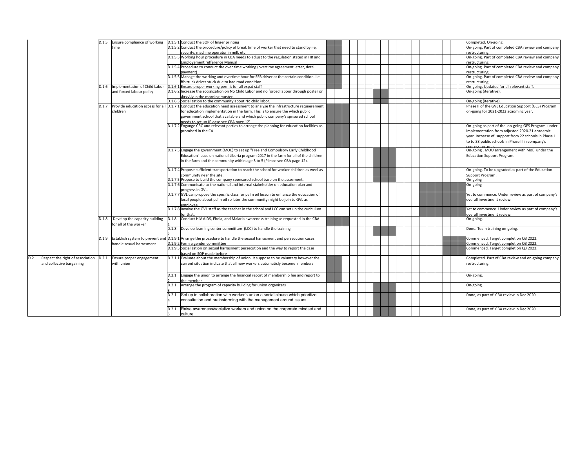|                                  |       |                                     | D.1.5 Ensure compliance of working D.1.5.1 Conduct the SOP of finger printing                                                             |  |  |  | Completed. On-going.                                                 |
|----------------------------------|-------|-------------------------------------|-------------------------------------------------------------------------------------------------------------------------------------------|--|--|--|----------------------------------------------------------------------|
|                                  |       | time                                | D.1.5.2 Conduct the procedure/policy of break time of worker that need to stand by i.e.                                                   |  |  |  | On-going. Part of completed CBA review and company                   |
|                                  |       |                                     | security, machine operator in mill, etc                                                                                                   |  |  |  |                                                                      |
|                                  |       |                                     | D.1.5.3 Working hour procedure in CBA needs to adjust to the regulation stated in HR and                                                  |  |  |  | restructuring.<br>On-going. Part of completed CBA review and company |
|                                  |       |                                     | <b>Employement refference Manual</b>                                                                                                      |  |  |  |                                                                      |
|                                  |       |                                     | D.1.5.4 Procedure to conduct the over time working (overtime agreement letter, detail                                                     |  |  |  | restructuring<br>On-going. Part of completed CBA review and company  |
|                                  |       |                                     |                                                                                                                                           |  |  |  |                                                                      |
|                                  |       |                                     | pavment)<br>D.1.5.5 Manage the working and overtime hour for FFB driver at the certain condition. i.e                                     |  |  |  | restructuring<br>On-going. Part of completed CBA review and company  |
|                                  |       |                                     |                                                                                                                                           |  |  |  |                                                                      |
|                                  |       | Implementation of Child Labor       | ffb truck driver stuck due to bad road condition.<br>D.1.6.1 Ensure proper working permit for all expat staff                             |  |  |  | restructuring.<br>On-going. Updated for all relevant staff.          |
|                                  | D.1.6 |                                     | D.1.6.2 Increase the socialization on No Child Labor and no forced labour through poster or                                               |  |  |  | On-going (iterative).                                                |
|                                  |       | and forced labour policy            | directly in the morning muster.                                                                                                           |  |  |  |                                                                      |
|                                  |       |                                     | D.1.6.3 Socialization to the community about No child labor.                                                                              |  |  |  | On-going (iterative).                                                |
|                                  | D.1.7 |                                     | Provide education access for all $[0.1.7.1]$ Conduct the education need assessment to analyse the infrastructure requierement             |  |  |  | Phase II of the GVL Education Support (GES) Program                  |
|                                  |       |                                     |                                                                                                                                           |  |  |  |                                                                      |
|                                  |       | children                            | for education implementation in the farm. This is to ensure the which public                                                              |  |  |  | on-going for 2021-2022 acadminc year.                                |
|                                  |       |                                     | government school that available and which public company's spnsored school                                                               |  |  |  |                                                                      |
|                                  |       |                                     | needs to set un (Please see CRA nage 12).<br>D.1.7.2 Engange CRC and relevant parties to arrange the planning for education facilities as |  |  |  | On-going as part of the on-going GES Program under                   |
|                                  |       |                                     | promised in the CA                                                                                                                        |  |  |  |                                                                      |
|                                  |       |                                     |                                                                                                                                           |  |  |  | implementation from adjusted 2020-21 academic                        |
|                                  |       |                                     |                                                                                                                                           |  |  |  | year. Increase of support from 22 schools in Phase I                 |
|                                  |       |                                     |                                                                                                                                           |  |  |  | to to 38 public schools in Phase II in company's                     |
|                                  |       |                                     |                                                                                                                                           |  |  |  | concession areas                                                     |
|                                  |       |                                     | D.1.7.3 Engage the government (MOE) to set up "Free and Compulsory Early Childhood                                                        |  |  |  | On-going. MOU arrangement with MoE under the                         |
|                                  |       |                                     | Education" base on national Liberia program 2017 in the farm for all of the children                                                      |  |  |  | <b>Education Support Program.</b>                                    |
|                                  |       |                                     | in the farm and the community within age 3 to 5 (Please see CBA page 12).                                                                 |  |  |  |                                                                      |
|                                  |       |                                     | D.1.7.4 Propose sufficient transportation to reach the school for worker children as weel as                                              |  |  |  | On-going. To be upgraded as part of the Education                    |
|                                  |       |                                     | community near the site.                                                                                                                  |  |  |  | Support Program                                                      |
|                                  |       |                                     | D.1.7.5 Propose to build the company sponsored school base on the assesment.                                                              |  |  |  | On-going                                                             |
|                                  |       |                                     | D.1.7.6 Communicate to the national and internal stakeholder on education plan and                                                        |  |  |  | On-going                                                             |
|                                  |       |                                     | progress in GVL                                                                                                                           |  |  |  |                                                                      |
|                                  |       |                                     | D.1.7.7 GVL can propose the spesific class for palm oil lesson to enhance the education of                                                |  |  |  | Yet to commence. Under review as part of company's                   |
|                                  |       |                                     | local people about palm oil so later the community might be join to GVL as                                                                |  |  |  | overall investment review.                                           |
|                                  |       |                                     | emplovee.                                                                                                                                 |  |  |  |                                                                      |
|                                  |       |                                     | D.1.7.8 Involve the GVL staff as the teacher in the school and LCC can set up the curiculum                                               |  |  |  | Yet to commence. Under review as part of company's                   |
|                                  |       |                                     | for that                                                                                                                                  |  |  |  | overall investment review.                                           |
|                                  |       | D.1.8 Develop the capacity building | D.1.8. Conduct HIV AIDS, Ebola, and Malaria awareness training as requested in the CBA                                                    |  |  |  | On-going.                                                            |
|                                  |       | for all of the worker               |                                                                                                                                           |  |  |  |                                                                      |
|                                  |       |                                     | D.1.8. Develop learning center commiittee (LCC) to handle the training                                                                    |  |  |  | Done. Team training on-going.                                        |
|                                  |       |                                     |                                                                                                                                           |  |  |  |                                                                      |
|                                  | D.1.9 |                                     | Establish system to prevent and D.1.9.1 Arrange the procedure to handle the sexual harrasment and persecution cases                       |  |  |  | Commenced. Target completion Q3 2022.                                |
|                                  |       | handle sexual harrasment            | D.1.9.2 Form a gender commiittee                                                                                                          |  |  |  | Commenced. Target completion Q3 2022.                                |
|                                  |       |                                     | D.1.9.3 Socialization on sexual harrasment persecution and the way to report the case                                                     |  |  |  | Commenced. Target completion Q3 2022.                                |
|                                  |       |                                     | based on SOP made before                                                                                                                  |  |  |  |                                                                      |
| Respect the right of association | D.2.1 | Ensure proper engagement            | D.2.1.1 Evaluate about the membership of union. It suppose to be valuntary however the                                                    |  |  |  | Completed. Part of CBA review and on-going company                   |
| and collective bargaining        |       | with union                          | current situation indicate that all new workers automaticly become members                                                                |  |  |  | restructuring.                                                       |
|                                  |       |                                     |                                                                                                                                           |  |  |  |                                                                      |
|                                  |       |                                     |                                                                                                                                           |  |  |  |                                                                      |
|                                  |       |                                     | D.2.1. Engage the union to arrange the financial report of membership fee and report to                                                   |  |  |  | On-going.                                                            |
|                                  |       |                                     | the member                                                                                                                                |  |  |  |                                                                      |
|                                  |       |                                     | D.2.1. Arrange the program of capacity building for union organizers                                                                      |  |  |  | On-going.                                                            |
|                                  |       |                                     | D.2.1. Set up in collaboration with worker's union a social clause which prioritize                                                       |  |  |  | Done, as part of CBA review in Dec 2020.                             |
|                                  |       |                                     | consultation and brainstorming with the management around issues                                                                          |  |  |  |                                                                      |
|                                  |       |                                     |                                                                                                                                           |  |  |  |                                                                      |
|                                  |       |                                     | D.2.1. Raise awareness/socialize workers and union on the corporate mindset and                                                           |  |  |  | Done, as part of CBA review in Dec 2020.                             |
|                                  |       |                                     | culture                                                                                                                                   |  |  |  |                                                                      |
|                                  |       |                                     |                                                                                                                                           |  |  |  |                                                                      |

 $D.2$